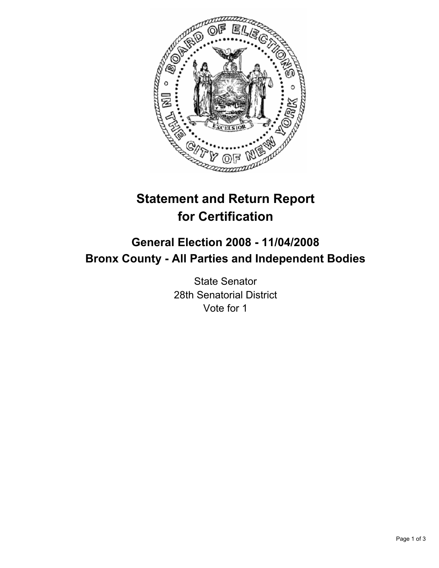

# **Statement and Return Report for Certification**

## **General Election 2008 - 11/04/2008 Bronx County - All Parties and Independent Bodies**

State Senator 28th Senatorial District Vote for 1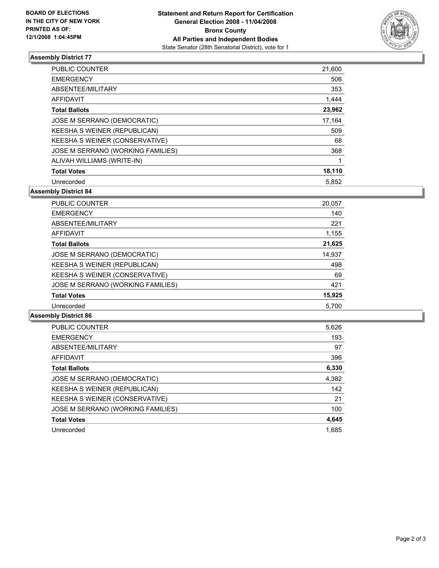

### **Assembly District 77**

| PUBLIC COUNTER                    | 21,600 |
|-----------------------------------|--------|
| <b>EMERGENCY</b>                  | 506    |
| ABSENTEE/MILITARY                 | 353    |
| AFFIDAVIT                         | 1,444  |
| <b>Total Ballots</b>              | 23,962 |
| JOSE M SERRANO (DEMOCRATIC)       | 17.164 |
| KEESHA S WEINER (REPUBLICAN)      | 509    |
| KEESHA S WEINER (CONSERVATIVE)    | 68     |
| JOSE M SERRANO (WORKING FAMILIES) | 368    |
| ALIVAH WILLIAMS (WRITE-IN)        |        |
| <b>Total Votes</b>                | 18,110 |
| Unrecorded                        | 5,852  |

**Assembly District 84**

| <b>PUBLIC COUNTER</b>             | 20,057 |
|-----------------------------------|--------|
| <b>EMERGENCY</b>                  | 140    |
| ABSENTEE/MILITARY                 | 221    |
| AFFIDAVIT                         | 1,155  |
| <b>Total Ballots</b>              | 21,625 |
| JOSE M SERRANO (DEMOCRATIC)       | 14,937 |
| KEESHA S WEINER (REPUBLICAN)      | 498    |
| KEESHA S WEINER (CONSERVATIVE)    | 69     |
| JOSE M SERRANO (WORKING FAMILIES) | 421    |
| <b>Total Votes</b>                | 15,925 |
| Unrecorded                        | 5.700  |

#### **Assembly District 86**

| <b>PUBLIC COUNTER</b>             | 5,626 |
|-----------------------------------|-------|
| <b>EMERGENCY</b>                  | 193   |
| ABSENTEE/MILITARY                 | 97    |
| AFFIDAVIT                         | 396   |
| <b>Total Ballots</b>              | 6,330 |
| JOSE M SERRANO (DEMOCRATIC)       | 4,382 |
| KEESHA S WEINER (REPUBLICAN)      | 142   |
| KEESHA S WEINER (CONSERVATIVE)    | 21    |
| JOSE M SERRANO (WORKING FAMILIES) | 100   |
| <b>Total Votes</b>                | 4,645 |
| Unrecorded                        | 1.685 |